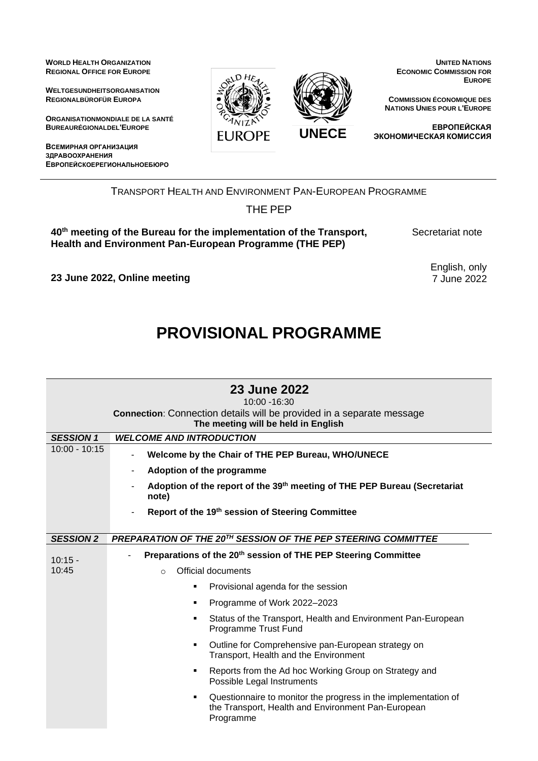**WORLD HEALTH ORGANIZATION REGIONAL OFFICE FOR EUROPE**

**WELTGESUNDHEITSORGANISATION REGIONALBÜROFÜR EUROPA**

**ORGANISATIONMONDIALE DE LA SANTÉ BUREAURÉGIONALDEL'EUROPE**

**ВСЕМИРНАЯ ОРГАНИЗАЦИЯ ЗДРАВООХРАНЕНИЯ ЕВРОПЕЙСКОЕРЕГИОНАЛЬНОЕБЮРО**



**UNITED NATIONS ECONOMIC COMMISSION FOR EUROPE**

**COMMISSION ÉCONOMIQUE DES NATIONS UNIES POUR L'EUROPE**

**ЕВРОПЕЙСКАЯ ЭКОНОМИЧЕСКАЯ КОМИССИЯ**

TRANSPORT HEALTH AND ENVIRONMENT PAN-EUROPEAN PROGRAMME

THE PEP

**40th meeting of the Bureau for the implementation of the Transport, Health and Environment Pan-European Programme (THE PEP)**

Secretariat note

English, only 7 June 2022

**23 June 2022, Online meeting**

## **PROVISIONAL PROGRAMME**

|                  | 23 June 2022<br>$10:00 - 16:30$<br><b>Connection:</b> Connection details will be provided in a separate message<br>The meeting will be held in English |
|------------------|--------------------------------------------------------------------------------------------------------------------------------------------------------|
| <b>SESSION 1</b> | <b>WELCOME AND INTRODUCTION</b>                                                                                                                        |
| $10:00 - 10:15$  | Welcome by the Chair of THE PEP Bureau, WHO/UNECE<br>$\blacksquare$                                                                                    |
|                  | Adoption of the programme                                                                                                                              |
|                  | Adoption of the report of the 39 <sup>th</sup> meeting of THE PEP Bureau (Secretariat<br>note)                                                         |
|                  | Report of the 19th session of Steering Committee                                                                                                       |
| <b>SESSION 2</b> | PREPARATION OF THE 20TH SESSION OF THE PEP STEERING COMMITTEE                                                                                          |
| $10:15 -$        | Preparations of the 20 <sup>th</sup> session of THE PEP Steering Committee                                                                             |
| 10:45            | Official documents<br>$\Omega$                                                                                                                         |
|                  | Provisional agenda for the session<br>٠                                                                                                                |
|                  | Programme of Work 2022-2023<br>٠                                                                                                                       |
|                  | Status of the Transport, Health and Environment Pan-European<br><b>Programme Trust Fund</b>                                                            |
|                  | Outline for Comprehensive pan-European strategy on<br>٠<br>Transport, Health and the Environment                                                       |
|                  | Reports from the Ad hoc Working Group on Strategy and<br>Possible Legal Instruments                                                                    |
|                  | Questionnaire to monitor the progress in the implementation of<br>٠<br>the Transport, Health and Environment Pan-European<br>Programme                 |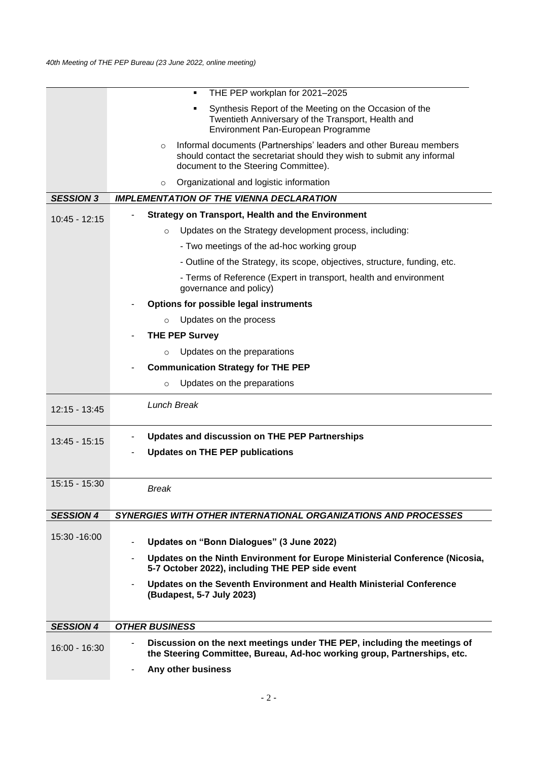|                  | THE PEP workplan for 2021-2025                                                                                                                                                                  |
|------------------|-------------------------------------------------------------------------------------------------------------------------------------------------------------------------------------------------|
|                  | Synthesis Report of the Meeting on the Occasion of the<br>Twentieth Anniversary of the Transport, Health and<br>Environment Pan-European Programme                                              |
|                  | Informal documents (Partnerships' leaders and other Bureau members<br>$\circ$<br>should contact the secretariat should they wish to submit any informal<br>document to the Steering Committee). |
|                  | Organizational and logistic information<br>$\circ$                                                                                                                                              |
| <b>SESSION 3</b> | <b>IMPLEMENTATION OF THE VIENNA DECLARATION</b>                                                                                                                                                 |
| $10:45 - 12:15$  | <b>Strategy on Transport, Health and the Environment</b>                                                                                                                                        |
|                  | Updates on the Strategy development process, including:<br>$\circ$                                                                                                                              |
|                  | - Two meetings of the ad-hoc working group                                                                                                                                                      |
|                  | - Outline of the Strategy, its scope, objectives, structure, funding, etc.                                                                                                                      |
|                  | - Terms of Reference (Expert in transport, health and environment<br>governance and policy)                                                                                                     |
|                  | Options for possible legal instruments                                                                                                                                                          |
|                  | Updates on the process<br>$\circ$                                                                                                                                                               |
|                  | <b>THE PEP Survey</b>                                                                                                                                                                           |
|                  | Updates on the preparations<br>$\circ$                                                                                                                                                          |
|                  | <b>Communication Strategy for THE PEP</b>                                                                                                                                                       |
|                  | Updates on the preparations<br>$\circ$                                                                                                                                                          |
| 12:15 - 13:45    | <b>Lunch Break</b>                                                                                                                                                                              |
|                  | Updates and discussion on THE PEP Partnerships<br>٠                                                                                                                                             |
| 13:45 - 15:15    |                                                                                                                                                                                                 |
|                  | <b>Updates on THE PEP publications</b>                                                                                                                                                          |
|                  |                                                                                                                                                                                                 |
| 15:15 - 15:30    | Break                                                                                                                                                                                           |
|                  |                                                                                                                                                                                                 |
| <b>SESSION 4</b> | <b>SYNERGIES WITH OTHER INTERNATIONAL ORGANIZATIONS AND PROCESSES</b>                                                                                                                           |
| 15:30 - 16:00    | Updates on "Bonn Dialogues" (3 June 2022)<br>۰                                                                                                                                                  |
|                  | Updates on the Ninth Environment for Europe Ministerial Conference (Nicosia,<br>۰<br>5-7 October 2022), including THE PEP side event                                                            |
|                  | Updates on the Seventh Environment and Health Ministerial Conference<br>(Budapest, 5-7 July 2023)                                                                                               |
| <b>SESSION 4</b> | <b>OTHER BUSINESS</b>                                                                                                                                                                           |
| 16:00 - 16:30    | Discussion on the next meetings under THE PEP, including the meetings of<br>the Steering Committee, Bureau, Ad-hoc working group, Partnerships, etc.                                            |
|                  | Any other business<br>$\overline{\phantom{a}}$                                                                                                                                                  |